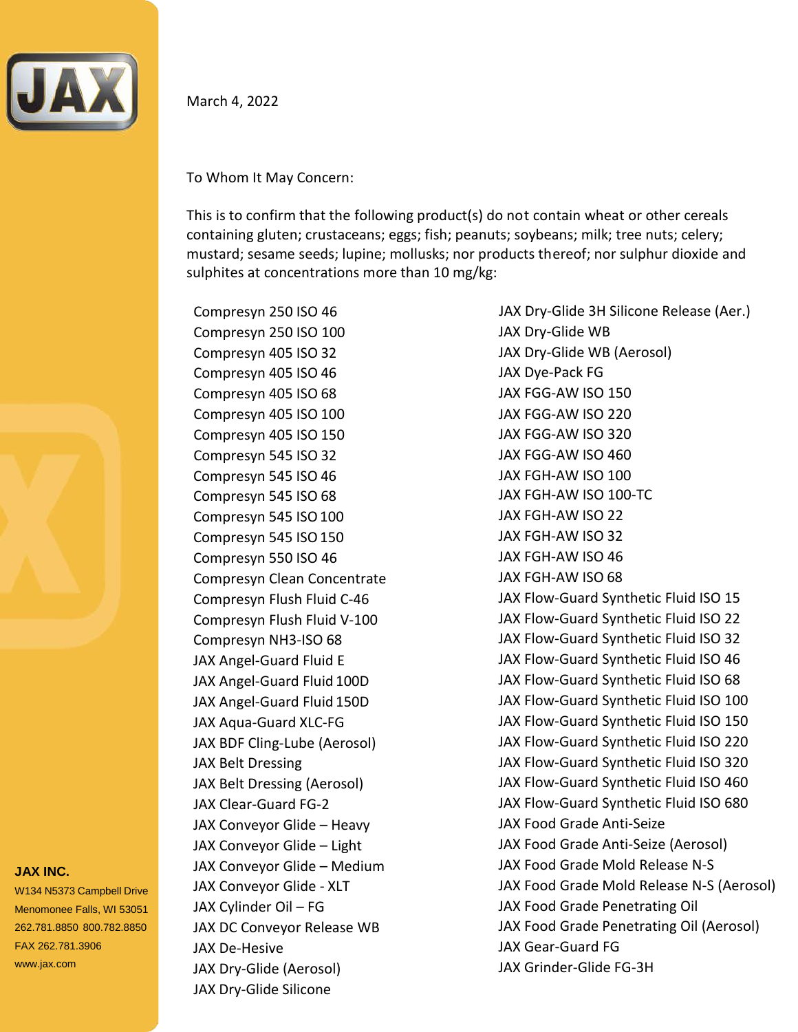

March 4, 2022

To Whom It May Concern:

This is to confirm that the following product(s) do not contain wheat or other cereals containing gluten; crustaceans; eggs; fish; peanuts; soybeans; milk; tree nuts; celery; mustard; sesame seeds; lupine; mollusks; nor products thereof; nor sulphur dioxide and sulphites at concentrations more than 10 mg/kg:

Compresyn 250 ISO 46 Compresyn 250 ISO 100 Compresyn 405 ISO 32 Compresyn 405 ISO 46 Compresyn 405 ISO 68 Compresyn 405 ISO 100 Compresyn 405 ISO 150 Compresyn 545 ISO 32 Compresyn 545 ISO 46 Compresyn 545 ISO 68 Compresyn 545 ISO 100 Compresyn 545 ISO 150 Compresyn 550 ISO 46 Compresyn Clean Concentrate Compresyn Flush Fluid C‐46 Compresyn Flush Fluid V‐100 Compresyn NH3‐ISO 68 JAX Angel‐Guard Fluid E JAX Angel‐Guard Fluid 100D JAX Angel‐Guard Fluid 150D JAX Aqua‐Guard XLC‐FG JAX BDF Cling‐Lube (Aerosol) JAX Belt Dressing JAX Belt Dressing (Aerosol) JAX Clear‐Guard FG‐2 JAX Conveyor Glide – Heavy JAX Conveyor Glide – Light JAX Conveyor Glide – Medium JAX Conveyor Glide ‐ XLT JAX Cylinder Oil – FG JAX DC Conveyor Release WB JAX De‐Hesive JAX Dry‐Glide (Aerosol)

JAX Dry-Glide Silicone

JAX Dry‐Glide 3H Silicone Release (Aer.) JAX Dry‐Glide WB JAX Dry‐Glide WB (Aerosol) JAX Dye‐Pack FG JAX FGG‐AW ISO 150 JAX FGG‐AW ISO 220 JAX FGG‐AW ISO 320 JAX FGG‐AW ISO 460 JAX FGH‐AW ISO 100 JAX FGH‐AW ISO 100‐TC JAX FGH-AW ISO 22 JAX FGH‐AW ISO 32 JAX FGH‐AW ISO 46 JAX FGH‐AW ISO 68 JAX Flow‐Guard Synthetic Fluid ISO 15 JAX Flow‐Guard Synthetic Fluid ISO 22 JAX Flow‐Guard Synthetic Fluid ISO 32 JAX Flow‐Guard Synthetic Fluid ISO 46 JAX Flow‐Guard Synthetic Fluid ISO 68 JAX Flow‐Guard Synthetic Fluid ISO 100 JAX Flow‐Guard Synthetic Fluid ISO 150 JAX Flow‐Guard Synthetic Fluid ISO 220 JAX Flow‐Guard Synthetic Fluid ISO 320 JAX Flow‐Guard Synthetic Fluid ISO 460 JAX Flow‐Guard Synthetic Fluid ISO 680 JAX Food Grade Anti‐Seize JAX Food Grade Anti‐Seize (Aerosol) JAX Food Grade Mold Release N‐S JAX Food Grade Mold Release N‐S (Aerosol) JAX Food Grade Penetrating Oil JAX Food Grade Penetrating Oil (Aerosol) JAX Gear‐Guard FG JAX Grinder‐Glide FG‐3H

## **JAX INC.**

W134 N5373 Campbell Drive Menomonee Falls, WI 53051 262.781.8850 800.782.8850 FAX 262.781.3906 [www.jax.com](http://www.jax.com/)